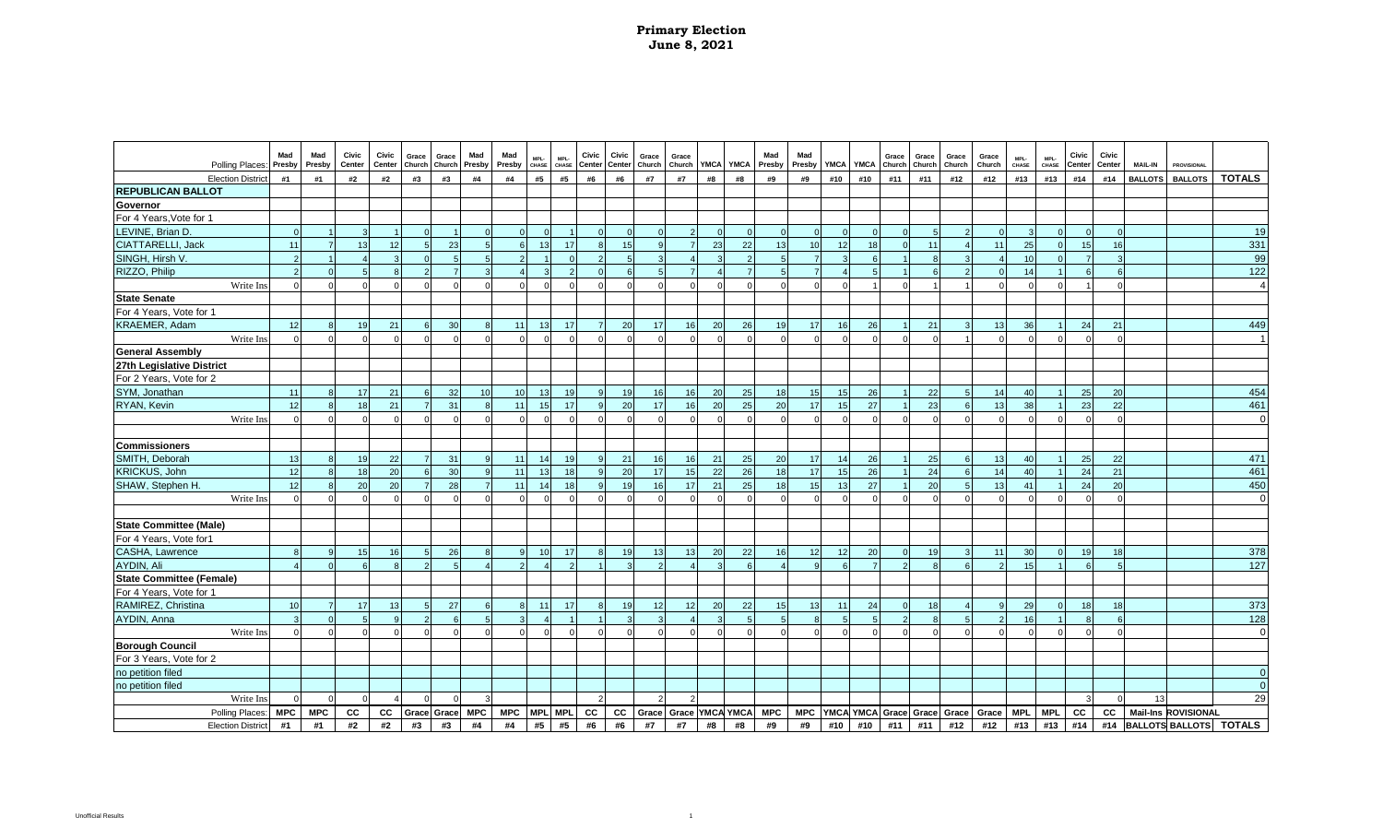| Polling Places:               | Mad              | Mad<br>Presby | Civic<br>Center | Civic<br>Center | Grace<br>Church | Grace          | Mad             | Mad<br>Presby   | MPL-<br>CHASE | MPL-<br>CHASE | Civic        | Civic<br>Center Center | Grace<br>Church | Grace        | <b>YMCA</b> | <b>YMCA</b>     | Mad<br>Presby | Mad<br>Presby  | <b>YMCA</b> | <b>YMCA</b>    | Grace               | Grace<br>Church | Grace<br>Church | Grace<br>Church | MPL-<br>CHASE   | MPL-<br>CHASE | Civic<br>Center | Civic<br>Center | <b>MAIL-IN</b> | <b>PROVISIONAL</b>         |                                |
|-------------------------------|------------------|---------------|-----------------|-----------------|-----------------|----------------|-----------------|-----------------|---------------|---------------|--------------|------------------------|-----------------|--------------|-------------|-----------------|---------------|----------------|-------------|----------------|---------------------|-----------------|-----------------|-----------------|-----------------|---------------|-----------------|-----------------|----------------|----------------------------|--------------------------------|
| <b>Election Distric</b>       | Presby<br>#1     | #1            | #2              | #2              | #3              | Church<br>#3   | Presby<br>#4    | #4              | #5            | #5            | #6           | #6                     | #7              | Church<br>#7 | #8          | #8              | #9            | #9             | #10         | #10            | Church<br>#11       | #11             | #12             | #12             | #13             | #13           | #14             | #14             | <b>BALLOTS</b> | <b>BALLOTS</b>             | <b>TOTALS</b>                  |
| <b>REPUBLICAN BALLOT</b>      |                  |               |                 |                 |                 |                |                 |                 |               |               |              |                        |                 |              |             |                 |               |                |             |                |                     |                 |                 |                 |                 |               |                 |                 |                |                            |                                |
| Governor                      |                  |               |                 |                 |                 |                |                 |                 |               |               |              |                        |                 |              |             |                 |               |                |             |                |                     |                 |                 |                 |                 |               |                 |                 |                |                            |                                |
| For 4 Years, Vote for 1       |                  |               |                 |                 |                 |                |                 |                 |               |               |              |                        |                 |              |             |                 |               |                |             |                |                     |                 |                 |                 |                 |               |                 |                 |                |                            |                                |
| LEVINE, Brian D.              | $\Omega$         |               | $\mathcal{R}$   |                 |                 |                |                 | $\Omega$        | $\Omega$      |               |              |                        | $\Omega$        |              |             |                 |               | $\Omega$       |             |                |                     | 5               |                 | $\Omega$        | $\mathbf{B}$    |               | $\Omega$        | $\Omega$        |                |                            | 19                             |
| CIATTARELLI, Jack             | 11               |               | 13              | 12              |                 | 23             |                 | $6\overline{6}$ | 13            | 17            |              | 15                     | $\circ$         |              | 23          | 22              | 13            | 10             | 12          | 18             |                     | 11              |                 | 11              | 25              |               | 15              | 16              |                |                            | 331                            |
| SINGH, Hirsh V.               | $\mathfrak{p}$   |               |                 |                 |                 | 5              |                 | $\mathcal{P}$   |               |               |              | $\sqrt{2}$             | 3               |              |             | $\mathcal{P}$   |               | $\overline{7}$ |             | 6              |                     | $\mathbf{8}$    |                 |                 | 10 <sup>1</sup> |               | $\overline{7}$  | $\overline{3}$  |                |                            | 99                             |
| RIZZO, Philip                 | $\mathcal{L}$    |               | $\sqrt{2}$      |                 |                 | $\overline{7}$ |                 |                 |               |               |              | $\epsilon$             | $\sqrt{2}$      |              |             | $\overline{7}$  |               |                |             |                |                     | $\epsilon$      |                 | $\Omega$        | 14              |               | $\epsilon$      | $\epsilon$      |                |                            | 122                            |
| Write In:                     |                  | $\Omega$      | $\Omega$        |                 |                 | $\Omega$       | $\Omega$        | $\Omega$        | $\Omega$      |               |              |                        | $\Omega$        | $\Omega$     |             | $\Omega$        | $\Omega$      | $\Omega$       |             |                |                     | $\overline{1}$  |                 | $\Omega$        | $\Omega$        |               |                 | $\Omega$        |                |                            | $\overline{4}$                 |
| <b>State Senate</b>           |                  |               |                 |                 |                 |                |                 |                 |               |               |              |                        |                 |              |             |                 |               |                |             |                |                     |                 |                 |                 |                 |               |                 |                 |                |                            |                                |
| For 4 Years, Vote for 1       |                  |               |                 |                 |                 |                |                 |                 |               |               |              |                        |                 |              |             |                 |               |                |             |                |                     |                 |                 |                 |                 |               |                 |                 |                |                            |                                |
| KRAEMER, Adam                 | 12               | 8             | 19              | 21              | 6               | 30             |                 | 11              | 13            | 17            | -7           | 20                     | 17              | 16           | 20          | 26              | 19            | 17             | <b>16</b>   | 26             |                     | 21              |                 | 13              | 36              |               | 24              | 21              |                |                            | 449                            |
| Write Ins                     |                  | $\Omega$      | $\Omega$        | $\Omega$        |                 | $\Omega$       |                 | $\Omega$        | $\Omega$      |               |              |                        | $\Omega$        |              | $\Omega$    | $\Omega$        | $\Omega$      | $\Omega$       | $\Omega$    | $\Omega$       |                     | $\Omega$        |                 | $\Omega$        | $\Omega$        |               | $\Omega$        | $\Omega$        |                |                            | $\overline{1}$                 |
| <b>General Assembly</b>       |                  |               |                 |                 |                 |                |                 |                 |               |               |              |                        |                 |              |             |                 |               |                |             |                |                     |                 |                 |                 |                 |               |                 |                 |                |                            |                                |
| 27th Legislative District     |                  |               |                 |                 |                 |                |                 |                 |               |               |              |                        |                 |              |             |                 |               |                |             |                |                     |                 |                 |                 |                 |               |                 |                 |                |                            |                                |
| For 2 Years, Vote for 2       |                  |               |                 |                 |                 |                |                 |                 |               |               |              |                        |                 |              |             |                 |               |                |             |                |                     |                 |                 |                 |                 |               |                 |                 |                |                            |                                |
| SYM, Jonathan                 | 11               |               | 17              | 21              | $6\overline{6}$ | 32             | 10 <sup>1</sup> | 10 <sup>1</sup> | 13            | 19            |              | 19                     | 16              | 16           | 20          | 25              | 18            | 15             | 15          | 26             |                     | 22              |                 | 14              | 40              |               | 25              | 20              |                |                            | 454                            |
| RYAN, Kevin                   | 12               |               | 18              | 21              |                 | 31             |                 | 11              | 15            | 17            | $\mathbf{q}$ | 20                     | 17              | 16           | 20          | 25              | 20            | 17             | 15          | 27             |                     | 23              |                 | 13              | 38              |               | 23              | 22              |                |                            | 461                            |
| Write Ins                     | $\Omega$         | $\Omega$      | $\Omega$        |                 |                 | $\Omega$       |                 | $\Omega$        | $\Omega$      |               |              | $\Omega$               | $\Omega$        |              | $\Omega$    | $\Omega$        |               | $\Omega$       | $\Omega$    |                |                     | $\Omega$        |                 | $\Omega$        | $\Omega$        |               | $\Omega$        | $\Omega$        |                |                            | $\mathbf 0$                    |
|                               |                  |               |                 |                 |                 |                |                 |                 |               |               |              |                        |                 |              |             |                 |               |                |             |                |                     |                 |                 |                 |                 |               |                 |                 |                |                            |                                |
| <b>Commissioners</b>          |                  |               |                 |                 |                 |                |                 |                 |               |               |              |                        |                 |              |             |                 |               |                |             |                |                     |                 |                 |                 |                 |               |                 |                 |                |                            |                                |
| SMITH, Deborah                | 13               |               | 19              | 22              |                 | 31             |                 | 11              | 14            | 19            |              | 21                     | 16              | 16           | 21          | 25              | 20            | 17             | 14          | 26             |                     | 25              |                 | 13              | 40              |               | 25              | 22              |                |                            | 471                            |
| KRICKUS, John                 | 12               |               | 18              | 20              |                 | 30             |                 | 11              | 13            | 18            |              | 20                     | 17              | 15           | 22          | 26              | 18            | 17             | 15          | 26             |                     | 24              |                 | 14              | 40              |               | 24              | 21              |                |                            | 461                            |
| SHAW, Stephen H.              | 12               |               | 20              | 20              |                 | 28             |                 | 11              | 14            | 18            |              | 19                     | 16              | 17           | 21          | 25              | 18            | 15             | 13          | 27             |                     | 20              |                 | 13              | 41              |               | 24              | 20              |                |                            | 450                            |
| Write Ins                     |                  |               |                 |                 |                 |                |                 |                 |               |               |              |                        |                 |              |             |                 |               | $\Omega$       |             |                |                     | $\Omega$        |                 | $\Omega$        |                 |               | $\Omega$        | $\Omega$        |                |                            | $\mathbf 0$                    |
|                               |                  |               |                 |                 |                 |                |                 |                 |               |               |              |                        |                 |              |             |                 |               |                |             |                |                     |                 |                 |                 |                 |               |                 |                 |                |                            |                                |
| <b>State Committee (Male)</b> |                  |               |                 |                 |                 |                |                 |                 |               |               |              |                        |                 |              |             |                 |               |                |             |                |                     |                 |                 |                 |                 |               |                 |                 |                |                            |                                |
| For 4 Years, Vote for1        |                  |               |                 |                 |                 |                |                 |                 |               |               |              |                        |                 |              |             |                 |               |                |             |                |                     |                 |                 |                 |                 |               |                 |                 |                |                            |                                |
| CASHA, Lawrence               | 8                | 9             | 15              | 16              | $\overline{5}$  | 26             |                 | 9               | 10            | 17            | 8            | 19                     | 13              | 13           | 20          | 22              | 16            | 12             | 12          | 20             | $\Omega$            | 19              |                 | 11              | 30 <sup>1</sup> | $\Omega$      | 19              | 18              |                |                            | 378                            |
| AYDIN, Ali                    |                  | $\Omega$      | $\epsilon$      | $\mathbf{R}$    |                 | $\overline{5}$ |                 | $\mathcal{P}$   |               |               |              |                        | $\mathcal{P}$   |              |             | $\epsilon$      |               | $\mathsf{Q}$   | 6           | $\overline{7}$ |                     | $\mathbf{R}$    |                 | 2               | 15              |               | 6               | $\overline{5}$  |                |                            | $\overline{127}$               |
| State Committee (Female)      |                  |               |                 |                 |                 |                |                 |                 |               |               |              |                        |                 |              |             |                 |               |                |             |                |                     |                 |                 |                 |                 |               |                 |                 |                |                            |                                |
| For 4 Years, Vote for 1       |                  |               |                 |                 |                 |                |                 |                 |               |               |              |                        |                 |              |             |                 |               |                |             |                |                     |                 |                 |                 |                 |               |                 |                 |                |                            |                                |
| RAMIREZ, Christina            | 10 <sup>1</sup>  | 7             | 17              | 13              |                 | 27             |                 | $\mathbf{8}$    | 11            | 17            |              | 19                     | 12              | 12           | 20          | 22              | 15            | 13             | 11          | 24             |                     | 18              |                 | $\mathbf{q}$    | 29              |               | 18              | 18              |                |                            | 373                            |
| AYDIN, Anna                   | $\mathbf{R}$     | $\Omega$      | $\sqrt{2}$      |                 |                 | $\epsilon$     |                 | $\mathcal{R}$   |               |               |              |                        | 3               |              |             |                 |               | $\mathsf{R}$   |             |                |                     | $\mathsf{R}$    |                 | $\overline{2}$  | 16              |               | $\mathbf{g}$    | $6\overline{6}$ |                |                            | 128                            |
| Write Ins                     |                  |               |                 |                 |                 | $\Omega$       |                 | $\Omega$        | $\Omega$      |               |              |                        | $\Omega$        |              |             | $\Omega$        |               | $\Omega$       |             |                |                     | $\Omega$        |                 | $\Omega$        |                 |               | $\Omega$        |                 |                |                            | $\mathbf 0$                    |
| <b>Borough Council</b>        |                  |               |                 |                 |                 |                |                 |                 |               |               |              |                        |                 |              |             |                 |               |                |             |                |                     |                 |                 |                 |                 |               |                 |                 |                |                            |                                |
| For 3 Years, Vote for 2       |                  |               |                 |                 |                 |                |                 |                 |               |               |              |                        |                 |              |             |                 |               |                |             |                |                     |                 |                 |                 |                 |               |                 |                 |                |                            |                                |
| no petition filed             |                  |               |                 |                 |                 |                |                 |                 |               |               |              |                        |                 |              |             |                 |               |                |             |                |                     |                 |                 |                 |                 |               |                 |                 |                |                            | $\overline{0}$<br>$\mathbf{0}$ |
| no petition filed             |                  | $\Omega$      |                 |                 |                 |                |                 |                 |               |               |              |                        | 2               |              |             |                 |               |                |             |                |                     |                 |                 |                 |                 |               | $\mathcal{R}$   | $\Omega$        | 13             |                            | 29                             |
| Write In:                     |                  | <b>MPC</b>    | cc              |                 | Grace           |                | <b>MPC</b>      | <b>MPC</b>      | <b>MPL</b>    | <b>MPL</b>    |              |                        |                 |              |             | Grace YMCA YMCA | <b>MPC</b>    |                |             |                | MPC YMCA YMCA Grace |                 | Grace           | Grace           | <b>MPL</b>      | <b>MPL</b>    | cc              | cc              |                | <b>Mail-Ins ROVISIONAL</b> |                                |
| <b>Polling Places</b>         | <b>MPC</b><br>#1 | #1            | #2              | cc<br>#2        | #3              | Grace          |                 |                 | #5            | #5            | cc           | cc<br>#6               | Grace           |              | #8          |                 |               |                |             | #10            |                     | Grace           |                 |                 |                 | #13           | #14             | #14             |                | <b>BALLOTS BALLOTS</b>     | <b>TOTALS</b>                  |
| <b>Election District</b>      |                  |               |                 |                 |                 | #3             | #4              | #4              |               |               | #6           |                        | #7              | #7           |             | #8              | #9            | #9             | #10         |                | #11                 | #11             | #12             | #12             | #13             |               |                 |                 |                |                            |                                |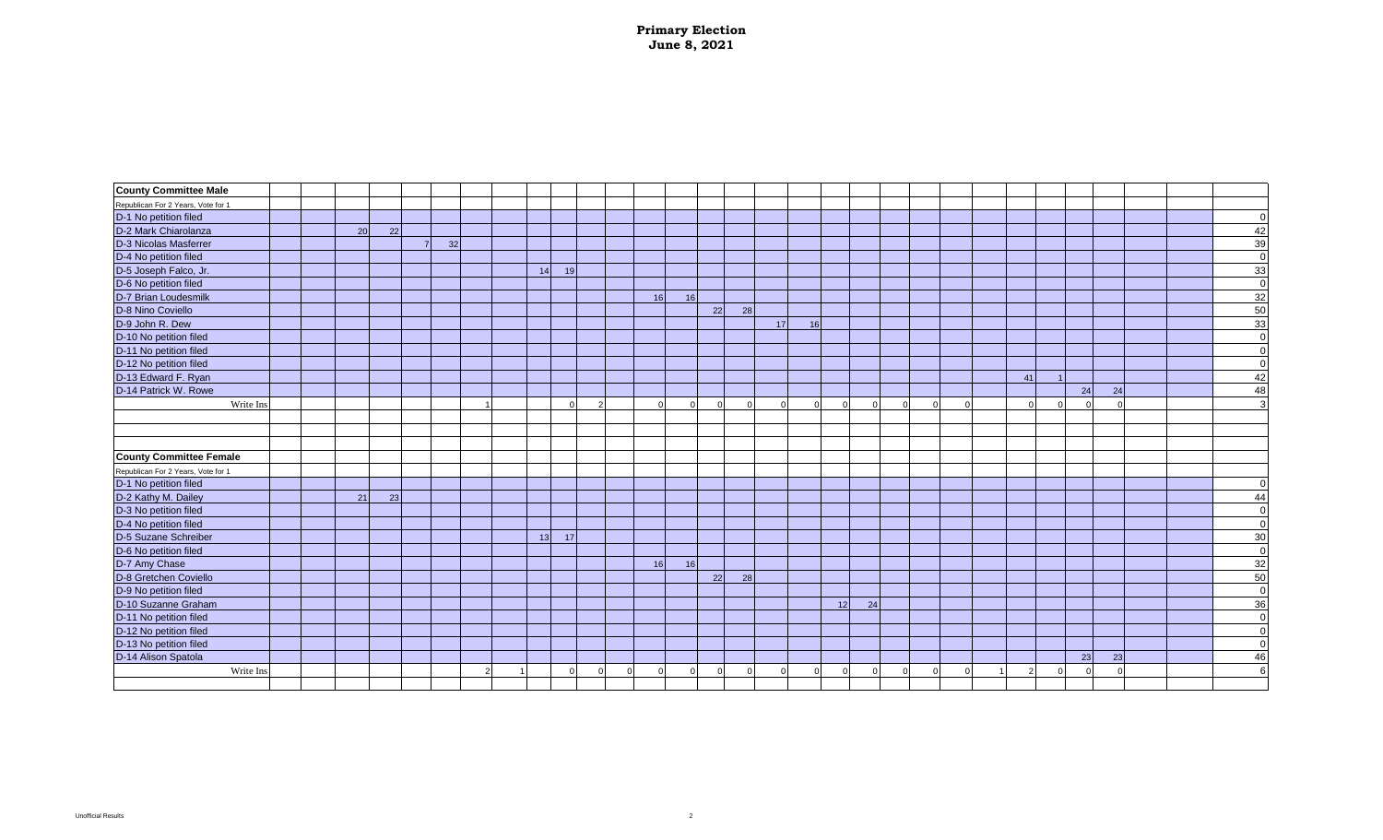| <b>County Committee Male</b>       |  |    |    |    |   |    |    |   |    |          |          |          |          |          |          |    |          |            |  |    |          |            |  |             |
|------------------------------------|--|----|----|----|---|----|----|---|----|----------|----------|----------|----------|----------|----------|----|----------|------------|--|----|----------|------------|--|-------------|
| Republican For 2 Years, Vote for 1 |  |    |    |    |   |    |    |   |    |          |          |          |          |          |          |    |          |            |  |    |          |            |  |             |
| D-1 No petition filed              |  |    |    |    |   |    |    |   |    |          |          |          |          |          |          |    |          |            |  |    |          |            |  | 0           |
| D-2 Mark Chiarolanza               |  | 20 | 22 |    |   |    |    |   |    |          |          |          |          |          |          |    |          |            |  |    |          |            |  | 42          |
| D-3 Nicolas Masferrer              |  |    |    | 32 |   |    |    |   |    |          |          |          |          |          |          |    |          |            |  |    |          |            |  | 39          |
| D-4 No petition filed              |  |    |    |    |   |    |    |   |    |          |          |          |          |          |          |    |          |            |  |    |          |            |  | $\Omega$    |
| D-5 Joseph Falco, Jr.              |  |    |    |    |   | 14 | 19 |   |    |          |          |          |          |          |          |    |          |            |  |    |          |            |  | 33          |
| D-6 No petition filed              |  |    |    |    |   |    |    |   |    |          |          |          |          |          |          |    |          |            |  |    |          |            |  | $\Omega$    |
| D-7 Brian Loudesmilk               |  |    |    |    |   |    |    |   | 16 | 16       |          |          |          |          |          |    |          |            |  |    |          |            |  | 32          |
| D-8 Nino Coviello                  |  |    |    |    |   |    |    |   |    |          | 22       | 28       |          |          |          |    |          |            |  |    |          |            |  | 50          |
| D-9 John R. Dew                    |  |    |    |    |   |    |    |   |    |          |          |          | 17       | 16       |          |    |          |            |  |    |          |            |  | 33          |
| D-10 No petition filed             |  |    |    |    |   |    |    |   |    |          |          |          |          |          |          |    |          |            |  |    |          |            |  | 0           |
| D-11 No petition filed             |  |    |    |    |   |    |    |   |    |          |          |          |          |          |          |    |          |            |  |    |          |            |  | $\mathbf 0$ |
| D-12 No petition filed             |  |    |    |    |   |    |    |   |    |          |          |          |          |          |          |    |          |            |  |    |          |            |  | $\mathbf 0$ |
| D-13 Edward F. Ryan                |  |    |    |    |   |    |    |   |    |          |          |          |          |          |          |    |          |            |  | 41 |          |            |  | 42          |
| D-14 Patrick W. Rowe               |  |    |    |    |   |    |    |   |    |          |          |          |          |          |          |    |          |            |  |    | 24       | 24         |  | 48          |
| Write Ins                          |  |    |    |    |   |    |    |   |    | $\Omega$ | $\Omega$ | $\Omega$ | $\cap$   | $\Omega$ | $\Omega$ |    | $\cap$   | $\sqrt{ }$ |  |    | $\Omega$ | $\sqrt{ }$ |  | 3           |
|                                    |  |    |    |    |   |    |    |   |    |          |          |          |          |          |          |    |          |            |  |    |          |            |  |             |
|                                    |  |    |    |    |   |    |    |   |    |          |          |          |          |          |          |    |          |            |  |    |          |            |  |             |
|                                    |  |    |    |    |   |    |    |   |    |          |          |          |          |          |          |    |          |            |  |    |          |            |  |             |
| <b>County Committee Female</b>     |  |    |    |    |   |    |    |   |    |          |          |          |          |          |          |    |          |            |  |    |          |            |  |             |
| Republican For 2 Years, Vote for 1 |  |    |    |    |   |    |    |   |    |          |          |          |          |          |          |    |          |            |  |    |          |            |  |             |
| D-1 No petition filed              |  |    |    |    |   |    |    |   |    |          |          |          |          |          |          |    |          |            |  |    |          |            |  | $\Omega$    |
| D-2 Kathy M. Dailey                |  | 21 | 23 |    |   |    |    |   |    |          |          |          |          |          |          |    |          |            |  |    |          |            |  | 44          |
| D-3 No petition filed              |  |    |    |    |   |    |    |   |    |          |          |          |          |          |          |    |          |            |  |    |          |            |  | $\mathbf 0$ |
| D-4 No petition filed              |  |    |    |    |   |    |    |   |    |          |          |          |          |          |          |    |          |            |  |    |          |            |  | 0           |
| D-5 Suzane Schreiber               |  |    |    |    |   | 13 | 17 |   |    |          |          |          |          |          |          |    |          |            |  |    |          |            |  | 30          |
| D-6 No petition filed              |  |    |    |    |   |    |    |   |    |          |          |          |          |          |          |    |          |            |  |    |          |            |  | $\mathbf 0$ |
| D-7 Amy Chase                      |  |    |    |    |   |    |    |   | 16 | 16       |          |          |          |          |          |    |          |            |  |    |          |            |  | 32          |
| D-8 Gretchen Coviello              |  |    |    |    |   |    |    |   |    |          | 22       | 28       |          |          |          |    |          |            |  |    |          |            |  | 50          |
| D-9 No petition filed              |  |    |    |    |   |    |    |   |    |          |          |          |          |          |          |    |          |            |  |    |          |            |  | $\mathbf 0$ |
| D-10 Suzanne Graham                |  |    |    |    |   |    |    |   |    |          |          |          |          |          | 12       | 24 |          |            |  |    |          |            |  | 36          |
| D-11 No petition filed             |  |    |    |    |   |    |    |   |    |          |          |          |          |          |          |    |          |            |  |    |          |            |  | 0           |
| D-12 No petition filed             |  |    |    |    |   |    |    |   |    |          |          |          |          |          |          |    |          |            |  |    |          |            |  | $\mathbf 0$ |
| D-13 No petition filed             |  |    |    |    |   |    |    |   |    |          |          |          |          |          |          |    |          |            |  |    |          |            |  | $\Omega$    |
| D-14 Alison Spatola                |  |    |    |    |   |    |    |   |    |          |          |          |          |          |          |    |          |            |  |    | 23       | 23         |  | 46          |
| Write Ins                          |  |    |    |    | 2 |    |    | 0 |    | $\Omega$ | $\Omega$ | $\Omega$ | $\Omega$ | 01       | $\Omega$ |    | $\Omega$ | $\Omega$   |  |    | $\Omega$ | $\Omega$   |  | 6           |
|                                    |  |    |    |    |   |    |    |   |    |          |          |          |          |          |          |    |          |            |  |    |          |            |  |             |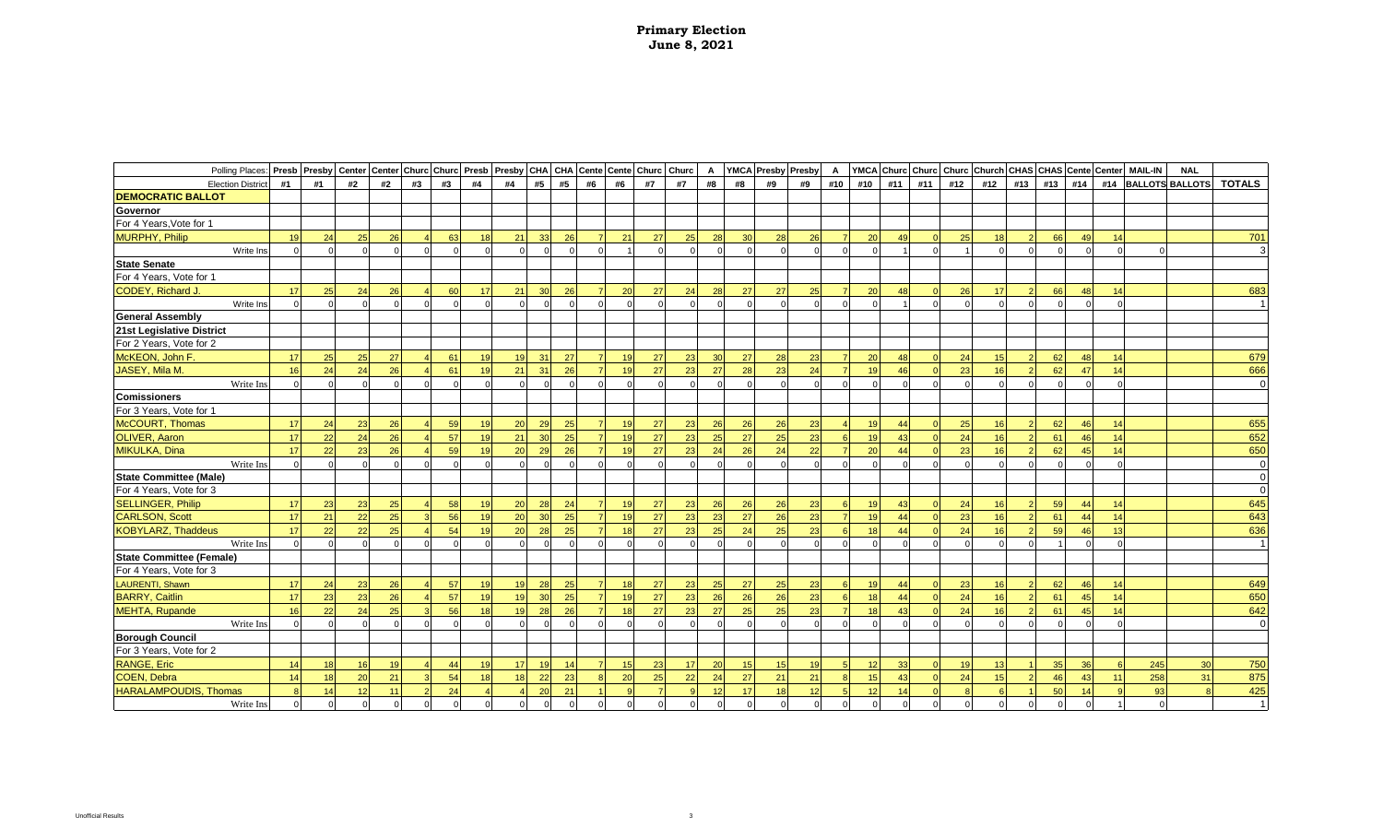| Polling Places: Presb Presby Center Center Churc Churc Presb Presby CHA CHA Cente Cente Churc Churc Churc |    |    |            |          |          |          |          |                |                |          |    |    |    |    | A        |          | YMCA Presby Presby |          | A        |          |            |          |            | YMCA Churc Churc Churc Church CHAS CHAS Cente Center |     |          |                |          | <b>MAIL-IN</b> | <b>NAL</b>             |                |
|-----------------------------------------------------------------------------------------------------------|----|----|------------|----------|----------|----------|----------|----------------|----------------|----------|----|----|----|----|----------|----------|--------------------|----------|----------|----------|------------|----------|------------|------------------------------------------------------|-----|----------|----------------|----------|----------------|------------------------|----------------|
| <b>Election District</b>                                                                                  | #1 | #1 | #2         | #2       | #3       | #3       | #4       | #4             | #5             | #5       | #6 | #6 | #7 | #7 | #8       | #8       | #9                 | #9       | #10      | #10      | #11        | #11      | #12        | #12                                                  | #13 | #13      | #14            | #14      |                | <b>BALLOTS BALLOTS</b> | <b>TOTALS</b>  |
| <b>DEMOCRATIC BALLOT</b>                                                                                  |    |    |            |          |          |          |          |                |                |          |    |    |    |    |          |          |                    |          |          |          |            |          |            |                                                      |     |          |                |          |                |                        |                |
| Governor                                                                                                  |    |    |            |          |          |          |          |                |                |          |    |    |    |    |          |          |                    |          |          |          |            |          |            |                                                      |     |          |                |          |                |                        |                |
| For 4 Years, Vote for 1                                                                                   |    |    |            |          |          |          |          |                |                |          |    |    |    |    |          |          |                    |          |          |          |            |          |            |                                                      |     |          |                |          |                |                        |                |
| MURPHY, Philip                                                                                            | 19 | 24 | 25         | 26       |          |          | 18       | 21             | 33             | 26       |    | 21 | 27 | 25 | 28       | 30       | 28                 | 26       |          | 20       |            |          | 2F         |                                                      |     | 66       |                |          |                |                        | 701            |
| Write Ins                                                                                                 |    |    |            | $\Omega$ | $\Omega$ | $\Omega$ | $\Omega$ |                |                | $\Omega$ |    |    |    |    | $\Omega$ | $\Omega$ | $\Omega$           |          | $\Omega$ | $\Omega$ |            | $\Omega$ |            |                                                      |     | $\Omega$ | $\Omega$       |          |                |                        | $\mathbf{3}$   |
| <b>State Senate</b>                                                                                       |    |    |            |          |          |          |          |                |                |          |    |    |    |    |          |          |                    |          |          |          |            |          |            |                                                      |     |          |                |          |                |                        |                |
| For 4 Years, Vote for 1                                                                                   |    |    |            |          |          |          |          |                |                |          |    |    |    |    |          |          |                    |          |          |          |            |          |            |                                                      |     |          |                |          |                |                        |                |
| <b>CODEY, Richard J</b>                                                                                   | 17 | 25 | 24         | 26       |          | 60       | 17       | 21             | 30             | 26       |    | 20 | 27 | 24 | 28       | 27       | 27                 | 25       |          | 20       | 48         |          | 26         | 17                                                   |     | 66       | 48             | 14       |                |                        | 683            |
| Write Ins                                                                                                 |    |    |            |          |          |          |          |                |                |          |    |    |    |    | $\Omega$ | $\Omega$ |                    |          |          |          |            |          |            |                                                      |     |          |                |          |                |                        |                |
| <b>General Assembly</b>                                                                                   |    |    |            |          |          |          |          |                |                |          |    |    |    |    |          |          |                    |          |          |          |            |          |            |                                                      |     |          |                |          |                |                        |                |
| 21st Legislative District                                                                                 |    |    |            |          |          |          |          |                |                |          |    |    |    |    |          |          |                    |          |          |          |            |          |            |                                                      |     |          |                |          |                |                        |                |
| For 2 Years, Vote for 2                                                                                   |    |    |            |          |          |          |          |                |                |          |    |    |    |    |          |          |                    |          |          |          |            |          |            |                                                      |     |          |                |          |                |                        |                |
| McKEON, John F.                                                                                           | 17 | 25 | 25         | 27       |          | 61       | 19       | 19             | 31             | 27       |    | 19 | 27 | 23 | 30       | 27       | 28                 | 23       |          | 20       | 48         |          | 24         | 15                                                   |     | 62       | 48             | 14       |                |                        | 679            |
| JASEY, Mila M.                                                                                            | 16 | 24 | 24         | 26       |          | 61       | 19       | 21             | 31             | 26       |    | 19 | 27 | 23 | 27       | 28       | 23                 | 24       |          | 19       | 46         |          | 23         | 16                                                   |     | 62       | 47             | 14       |                |                        | 666            |
| Write Ins                                                                                                 |    |    | $\Omega$   | $\Omega$ | $\Omega$ | $\Omega$ | $\Omega$ |                | r              | $\Omega$ |    |    |    |    | $\Omega$ | $\Omega$ | $\Omega$           | $\Omega$ | $\Omega$ | $\Omega$ | $\Omega$   | $\Omega$ | $\epsilon$ |                                                      |     | $\Omega$ |                | $\Omega$ |                |                        | $\Omega$       |
| <b>Comissioners</b>                                                                                       |    |    |            |          |          |          |          |                |                |          |    |    |    |    |          |          |                    |          |          |          |            |          |            |                                                      |     |          |                |          |                |                        |                |
| For 3 Years, Vote for 1                                                                                   |    |    |            |          |          |          |          |                |                |          |    |    |    |    |          |          |                    |          |          |          |            |          |            |                                                      |     |          |                |          |                |                        |                |
| McCOURT, Thomas                                                                                           | 17 | 24 | 23         | 26       |          | 59       | 19       | 20             | 29             | 25       |    | 19 | 27 | 23 | 26       | 26       | 26                 | 23       |          | 19       | 44         |          | 25         | 16                                                   |     | 62       | 46             | 14       |                |                        | 655            |
| <b>OLIVER, Aaron</b>                                                                                      | 17 | 22 | 24         | 26       |          | 57       | 19       | 21             | 30             | 25       |    | 19 | 27 | 23 | 25       | 27       | 25                 | 23       |          | 19       | 43         |          | 24         | 16                                                   |     | 61       | 46             | 14       |                |                        | 652            |
| MIKULKA, Dina                                                                                             | 17 | 22 | 23         | 26       |          | 59       | 19       | 20             | 29             | 26       |    | 19 | 27 | 23 | 24       | 26       | 24                 | 22       |          | 20       | 44         |          | 23         | 16                                                   |     | 62       | 45             | 14       |                |                        | 650            |
| Write Ins                                                                                                 |    |    | $\Omega$   | $\Omega$ | $\Omega$ | $\Omega$ | $\Omega$ |                |                | $\Omega$ |    |    |    |    | $\Omega$ | $\Omega$ | $\Omega$           |          | $\Omega$ | $\cap$   | $\sqrt{ }$ | $\Omega$ | $\sqrt{ }$ |                                                      |     | $\cap$   |                | $\Omega$ |                |                        | $\overline{0}$ |
| <b>State Committee (Male)</b>                                                                             |    |    |            |          |          |          |          |                |                |          |    |    |    |    |          |          |                    |          |          |          |            |          |            |                                                      |     |          |                |          |                |                        | $\Omega$       |
| For 4 Years, Vote for 3                                                                                   |    |    |            |          |          |          |          |                |                |          |    |    |    |    |          |          |                    |          |          |          |            |          |            |                                                      |     |          |                |          |                |                        | $\Omega$       |
| <b>SELLINGER, Philip</b>                                                                                  | 17 | 23 | 23         | 25       |          | 58       | 19       | 20             | 28             | 24       |    | 19 | 27 | 23 | 26       | 26       | 26                 | 23       |          | 19       | 43         |          | 24         | 16                                                   |     | 59       | 44             | 14       |                |                        | 645            |
| <b>CARLSON, Scott</b>                                                                                     | 17 | 21 | 22         | 25       |          | 56       | 19       | 20             | 30             | 25       |    | 19 | 27 | 23 | 23       | 27       | 26                 | 23       |          | 19       | 44         |          | 23         | 16                                                   |     | 61       | $\Delta\Delta$ | 14       |                |                        | 643            |
| <b>KOBYLARZ, Thaddeus</b>                                                                                 | 17 | 22 | 22         | 25       |          | 54       | 19       | 20             | 28             | 25       |    | 18 | 27 | 23 | 25       | 24       | 25                 | 23       |          | 18       | 44         |          | 24         | -16                                                  |     | 59       | 46             | 13       |                |                        | 636            |
| Write In:                                                                                                 |    |    | $\Omega$   | $\Omega$ |          |          | $\Omega$ |                |                |          |    |    |    |    | $\Omega$ | $\Omega$ |                    |          |          |          |            | $\Omega$ |            |                                                      |     |          |                | $\Omega$ |                |                        |                |
| State Committee (Female)                                                                                  |    |    |            |          |          |          |          |                |                |          |    |    |    |    |          |          |                    |          |          |          |            |          |            |                                                      |     |          |                |          |                |                        |                |
| For 4 Years, Vote for 3                                                                                   |    |    |            |          |          |          |          |                |                |          |    |    |    |    |          |          |                    |          |          |          |            |          |            |                                                      |     |          |                |          |                |                        |                |
| LAURENTI, Shawn                                                                                           | 17 | 24 | 23         | 26       |          | 57       | 19       | 19             | 28             | 25       |    | 18 | 27 | 23 | 25       | 27       | 25                 | 23       |          | 19       | 44         |          | 23         | 16                                                   |     | 62       | 46             | 14       |                |                        | 649            |
| <b>BARRY, Caitlin</b>                                                                                     | 17 | 23 | 23         | 26       |          | 57       | 19       | 19             | 30             | 25       |    | 19 | 27 | 23 | 26       | 26       | 26                 | 23       |          | 18       | 44         |          | 24         | -16                                                  |     | 61       | 45             | 14       |                |                        | 650            |
| <b>MEHTA, Rupande</b>                                                                                     | 16 | 22 | 24         | 25       |          | 56       | 18       | 1 <sub>q</sub> | 28             | 26       |    | 18 | 27 | 23 | 27       | 25       | 25                 | 23       |          | 18       | 43         |          | 24         | 16                                                   |     | 61       | 45             | 14       |                |                        | 642            |
| Write Ins                                                                                                 |    |    | $\Omega$   | $\Omega$ | $\Omega$ | $\Omega$ | $\Omega$ |                |                | $\Omega$ |    |    |    |    | $\Omega$ | $\Omega$ | $\Omega$           | $\Omega$ | $\Omega$ | $\Omega$ |            | $\Omega$ |            |                                                      |     | $\cap$   |                | $\Omega$ |                |                        | $\overline{0}$ |
| <b>Borough Council</b>                                                                                    |    |    |            |          |          |          |          |                |                |          |    |    |    |    |          |          |                    |          |          |          |            |          |            |                                                      |     |          |                |          |                |                        |                |
| For 3 Years, Vote for 2                                                                                   |    |    |            |          |          |          |          |                |                |          |    |    |    |    |          |          |                    |          |          |          |            |          |            |                                                      |     |          |                |          |                |                        |                |
| RANGE, Eric                                                                                               | 14 | 18 | 16         | 19       |          | 44       | 19       | 17             | $\overline{1}$ | 14       |    | 15 | 23 | 17 | 20       | 15       | 15                 | 19       |          | 12       | 33         |          | 19         | 13                                                   |     | 35       | 36             |          | 245            | 30                     | 750            |
| COEN, Debra                                                                                               | 14 | 18 | 20         | 21       |          | 54       | 18       | 18             | 22             | 23       |    | 20 | 25 | 22 | 24       | 27       | 21                 | 21       |          | 15       | 43         |          | 24         | 15                                                   |     | 46       | 43             | 11       | 258            | 31                     | 875            |
| <b>HARALAMPOUDIS, Thomas</b>                                                                              |    | 14 | 12         | 11       |          | 24       |          |                | 20             | 21       |    |    |    |    | 12       | 17       | 18                 | 12       |          | 12       | 14         |          |            |                                                      |     | 50       |                |          | 93             |                        | 425            |
| Write Ins                                                                                                 |    |    | $\sqrt{2}$ |          |          | $\Omega$ |          |                |                | $\Omega$ |    |    |    |    | $\Omega$ | $\Omega$ | $\Omega$           |          |          | $\Omega$ |            |          |            |                                                      |     | $\cap$   |                |          |                |                        | $\overline{1}$ |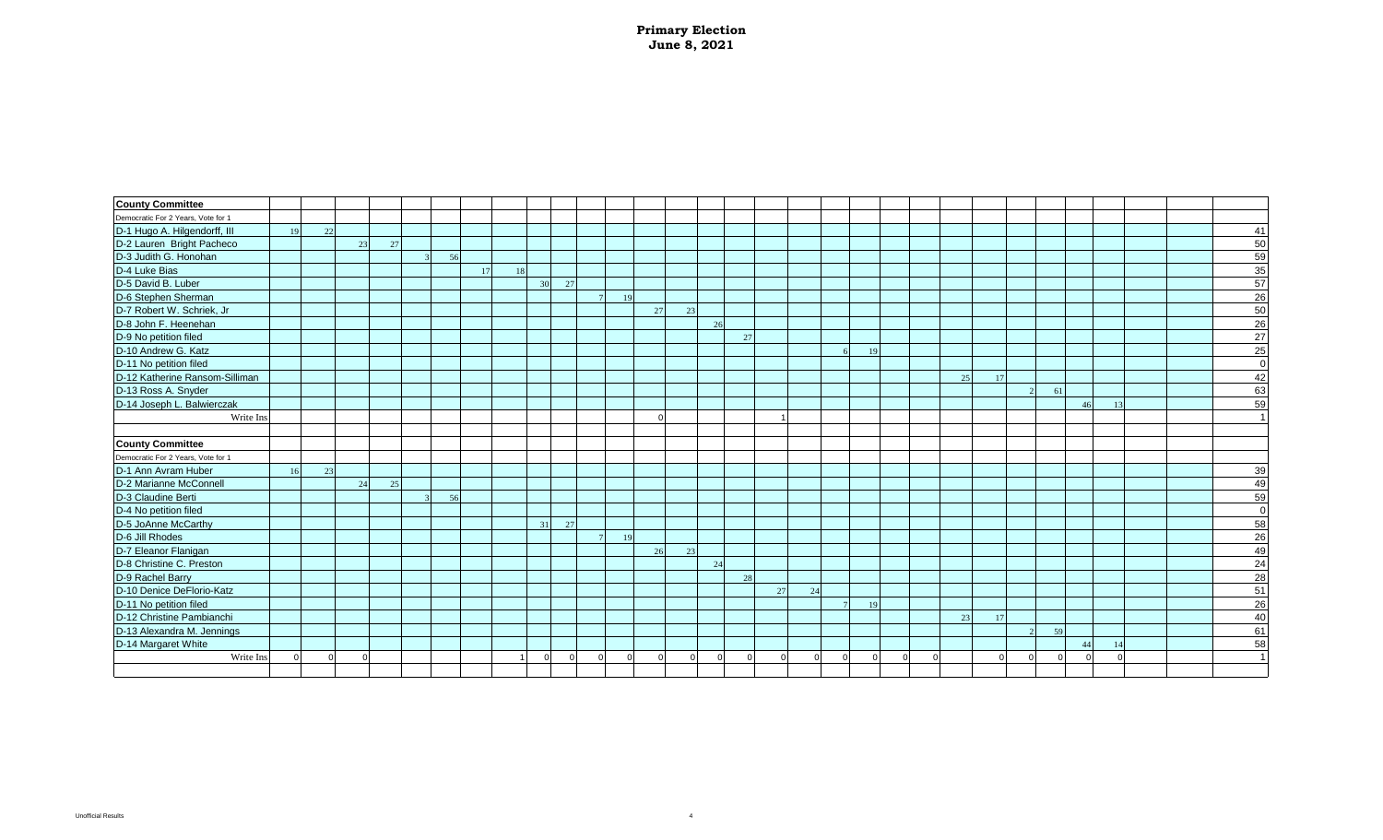| <b>County Committee</b>            |    |    |    |    |    |  |    |    |    |        |    |    |    |    |    |   |    |  |    |    |    |    |    |  |    |
|------------------------------------|----|----|----|----|----|--|----|----|----|--------|----|----|----|----|----|---|----|--|----|----|----|----|----|--|----|
| Democratic For 2 Years, Vote for 1 |    |    |    |    |    |  |    |    |    |        |    |    |    |    |    |   |    |  |    |    |    |    |    |  |    |
| D-1 Hugo A. Hilgendorff, III       | 19 | 22 |    |    |    |  |    |    |    |        |    |    |    |    |    |   |    |  |    |    |    |    |    |  | 41 |
| D-2 Lauren Bright Pacheco          |    |    | 23 | 27 |    |  |    |    |    |        |    |    |    |    |    |   |    |  |    |    |    |    |    |  | 50 |
| D-3 Judith G. Honohan              |    |    |    |    | 56 |  |    |    |    |        |    |    |    |    |    |   |    |  |    |    |    |    |    |  | 59 |
| D-4 Luke Bias                      |    |    |    |    |    |  |    |    |    |        |    |    |    |    |    |   |    |  |    |    |    |    |    |  | 35 |
| D-5 David B. Luber                 |    |    |    |    |    |  | 30 | 27 |    |        |    |    |    |    |    |   |    |  |    |    |    |    |    |  | 57 |
| D-6 Stephen Sherman                |    |    |    |    |    |  |    |    | 19 |        |    |    |    |    |    |   |    |  |    |    |    |    |    |  | 26 |
| D-7 Robert W. Schriek, Jr          |    |    |    |    |    |  |    |    |    | 27     | 23 |    |    |    |    |   |    |  |    |    |    |    |    |  | 50 |
| D-8 John F. Heenehan               |    |    |    |    |    |  |    |    |    |        |    | 26 |    |    |    |   |    |  |    |    |    |    |    |  | 26 |
| D-9 No petition filed              |    |    |    |    |    |  |    |    |    |        |    |    | 27 |    |    |   |    |  |    |    |    |    |    |  | 27 |
| D-10 Andrew G. Katz                |    |    |    |    |    |  |    |    |    |        |    |    |    |    |    | 6 | 19 |  |    |    |    |    |    |  | 25 |
| D-11 No petition filed             |    |    |    |    |    |  |    |    |    |        |    |    |    |    |    |   |    |  |    |    |    |    |    |  |    |
| D-12 Katherine Ransom-Silliman     |    |    |    |    |    |  |    |    |    |        |    |    |    |    |    |   |    |  | 25 | 17 |    |    |    |  | 42 |
| D-13 Ross A. Snyder                |    |    |    |    |    |  |    |    |    |        |    |    |    |    |    |   |    |  |    |    | 61 |    |    |  | 63 |
| D-14 Joseph L. Balwierczak         |    |    |    |    |    |  |    |    |    |        |    |    |    |    |    |   |    |  |    |    |    | 46 | 13 |  | 59 |
| Write Ins                          |    |    |    |    |    |  |    |    |    | $\cap$ |    |    |    |    |    |   |    |  |    |    |    |    |    |  |    |
|                                    |    |    |    |    |    |  |    |    |    |        |    |    |    |    |    |   |    |  |    |    |    |    |    |  |    |
| <b>County Committee</b>            |    |    |    |    |    |  |    |    |    |        |    |    |    |    |    |   |    |  |    |    |    |    |    |  |    |
| Democratic For 2 Years, Vote for 1 |    |    |    |    |    |  |    |    |    |        |    |    |    |    |    |   |    |  |    |    |    |    |    |  |    |
| D-1 Ann Avram Huber                | 16 | 23 |    |    |    |  |    |    |    |        |    |    |    |    |    |   |    |  |    |    |    |    |    |  | 39 |
| D-2 Marianne McConnell             |    |    | 24 | 25 |    |  |    |    |    |        |    |    |    |    |    |   |    |  |    |    |    |    |    |  | 49 |
| D-3 Claudine Berti                 |    |    |    |    | 56 |  |    |    |    |        |    |    |    |    |    |   |    |  |    |    |    |    |    |  | 59 |
| D-4 No petition filed              |    |    |    |    |    |  |    |    |    |        |    |    |    |    |    |   |    |  |    |    |    |    |    |  |    |
| D-5 JoAnne McCarthy                |    |    |    |    |    |  | 31 | 27 |    |        |    |    |    |    |    |   |    |  |    |    |    |    |    |  | 58 |
| D-6 Jill Rhodes                    |    |    |    |    |    |  |    |    | 19 |        |    |    |    |    |    |   |    |  |    |    |    |    |    |  | 26 |
| D-7 Eleanor Flanigan               |    |    |    |    |    |  |    |    |    | 26     | 23 |    |    |    |    |   |    |  |    |    |    |    |    |  | 49 |
| D-8 Christine C. Preston           |    |    |    |    |    |  |    |    |    |        |    | 24 |    |    |    |   |    |  |    |    |    |    |    |  | 24 |
| D-9 Rachel Barry                   |    |    |    |    |    |  |    |    |    |        |    |    | 28 |    |    |   |    |  |    |    |    |    |    |  | 28 |
| D-10 Denice DeFlorio-Katz          |    |    |    |    |    |  |    |    |    |        |    |    |    | 27 | 24 |   |    |  |    |    |    |    |    |  | 51 |
| D-11 No petition filed             |    |    |    |    |    |  |    |    |    |        |    |    |    |    |    |   | 19 |  |    |    |    |    |    |  | 26 |
| D-12 Christine Pambianchi          |    |    |    |    |    |  |    |    |    |        |    |    |    |    |    |   |    |  | 23 | 17 |    |    |    |  | 40 |
| D-13 Alexandra M. Jennings         |    |    |    |    |    |  |    |    |    |        |    |    |    |    |    |   |    |  |    |    | 59 |    |    |  | 61 |
| D-14 Margaret White                |    |    |    |    |    |  |    |    |    |        |    |    |    |    |    |   |    |  |    |    |    | 44 |    |  | 58 |
| Write Ins                          |    |    |    |    |    |  |    |    |    |        |    |    |    |    |    |   |    |  |    |    |    |    |    |  |    |
|                                    |    |    |    |    |    |  |    |    |    |        |    |    |    |    |    |   |    |  |    |    |    |    |    |  |    |